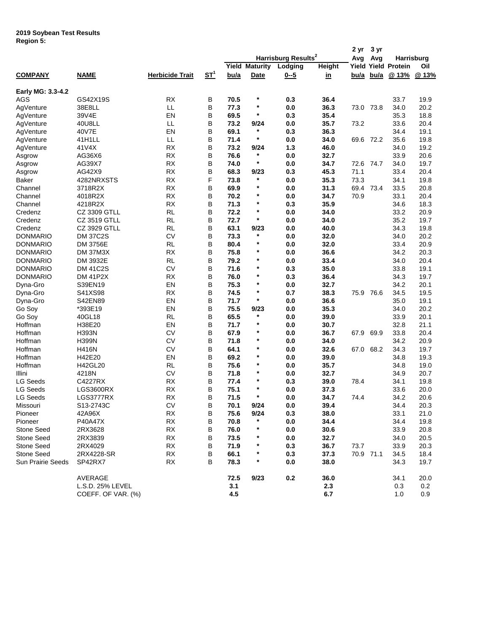## **2019 Soybean Test Results Region 5:**

|                   |                     |                        |        |      |                       |                                 |               | 2 yr        | 3 yr        |                            |       |
|-------------------|---------------------|------------------------|--------|------|-----------------------|---------------------------------|---------------|-------------|-------------|----------------------------|-------|
|                   |                     |                        |        |      |                       | Harrisburg Results <sup>2</sup> |               | Avg         | Avg         | Harrisburg                 |       |
|                   |                     |                        |        |      | <b>Yield Maturity</b> | Lodging                         | <b>Height</b> |             |             | <b>Yield Yield Protein</b> | Oil   |
| <b>COMPANY</b>    | <b>NAME</b>         | <b>Herbicide Trait</b> | $ST^1$ | bu/a | Date                  | $0 - 5$                         | <u>in</u>     | <u>bu/a</u> | <u>bu/a</u> | @ 13%                      | @ 13% |
| Early MG: 3.3-4.2 |                     |                        |        |      |                       |                                 |               |             |             |                            |       |
| <b>AGS</b>        | GS42X19S            | <b>RX</b>              | В      | 70.5 | $\ast$                | 0.3                             | 36.4          |             |             | 33.7                       | 19.9  |
| AgVenture         | 38E8LL              | LL                     | B      | 77.3 | $\ast$                | 0.0                             | 36.3          |             | 73.0 73.8   | 34.0                       | 20.2  |
| AgVenture         | 39V4E               | EN                     | В      | 69.5 | $\ast$                | 0.3                             | 35.4          |             |             | 35.3                       | 18.8  |
| AgVenture         | 40U8LL              | LL                     | В      | 73.2 | 9/24                  | 0.0                             | 35.7          | 73.2        |             | 33.6                       | 20.4  |
| AgVenture         | 40V7E               | EN                     | В      | 69.1 | $\star$               | 0.3                             | 36.3          |             |             | 34.4                       | 19.1  |
| AgVenture         | 41H1LL              | LL                     | В      | 71.4 | $\ast$                | 0.0                             | 34.0          |             | 69.6 72.2   | 35.6                       | 19.8  |
| AgVenture         | 41V4X               | RX                     | В      | 73.2 | 9/24                  | $1.3$                           | 46.0          |             |             | 34.0                       | 19.2  |
| Asgrow            | AG36X6              | <b>RX</b>              | В      | 76.6 | $\ast$                | 0.0                             | 32.7          |             |             | 33.9                       | 20.6  |
| Asgrow            | AG39X7              | RX                     | В      | 74.0 | $\pmb{\ast}$          | 0.0                             | 34.7          |             | 72.6 74.7   | 34.0                       | 19.7  |
| Asgrow            | AG42X9              | RX                     | В      | 68.3 | 9/23                  | 0.3                             | 45.3          | 71.1        |             | 33.4                       | 20.4  |
| Baker             | 4282NRXSTS          | <b>RX</b>              | F      | 73.8 | $\ast$                | 0.0                             | 35.3          | 73.3        |             | 34.1                       | 19.8  |
| Channel           | 3718R2X             | <b>RX</b>              | В      | 69.9 | $\ast$                | 0.0                             | 31.3          |             | 69.4 73.4   | 33.5                       | 20.8  |
| Channel           | 4018R2X             | <b>RX</b>              | В      | 70.2 | $\ast$                | 0.0                             | 34.7          | 70.9        |             | 33.1                       | 20.4  |
| Channel           | 4218R2X             | <b>RX</b>              | В      | 71.3 | $\star$               | 0.3                             | 35.9          |             |             | 34.6                       | 18.3  |
| Credenz           | CZ 3309 GTLL        | <b>RL</b>              | В      | 72.2 | $\star$               | 0.0                             | 34.0          |             |             | 33.2                       | 20.9  |
| Credenz           | <b>CZ 3519 GTLL</b> | <b>RL</b>              | В      | 72.7 | $\star$               | 0.0                             | 34.0          |             |             | 35.2                       | 19.7  |
| Credenz           | <b>CZ 3929 GTLL</b> | <b>RL</b>              | B      | 63.1 | 9/23                  | 0.0                             | 40.0          |             |             | 34.3                       | 19.8  |
| <b>DONMARIO</b>   | <b>DM 37C2S</b>     | <b>CV</b>              | В      | 73.3 | $^{\ast}$             | 0.0                             | 32.0          |             |             | 34.0                       | 20.2  |
|                   |                     | <b>RL</b>              | В      | 80.4 | *                     |                                 |               |             |             |                            |       |
| <b>DONMARIO</b>   | DM 3756E            |                        |        |      | $\star$               | 0.0                             | 32.0          |             |             | 33.4                       | 20.9  |
| <b>DONMARIO</b>   | <b>DM 37M3X</b>     | <b>RX</b>              | B      | 75.8 | $\star$               | 0.0                             | 36.6          |             |             | 34.2                       | 20.3  |
| <b>DONMARIO</b>   | DM 3932E            | <b>RL</b>              | В      | 79.2 | $\ast$                | 0.0                             | 33.4          |             |             | 34.0                       | 20.4  |
| <b>DONMARIO</b>   | <b>DM 41C2S</b>     | <b>CV</b>              | В      | 71.6 |                       | 0.3                             | 35.0          |             |             | 33.8                       | 19.1  |
| <b>DONMARIO</b>   | <b>DM 41P2X</b>     | <b>RX</b>              | В      | 76.0 | $\star$               | 0.3                             | 36.4          |             |             | 34.3                       | 19.7  |
| Dyna-Gro          | S39EN19             | EN                     | B      | 75.3 | $\ast$                | 0.0                             | 32.7          |             |             | 34.2                       | 20.1  |
| Dyna-Gro          | S41XS98             | <b>RX</b>              | В      | 74.5 | $\ast$                | 0.7                             | 38.3          |             | 75.9 76.6   | 34.5                       | 19.5  |
| Dyna-Gro          | S42EN89             | EN                     | В      | 71.7 | $\star$               | 0.0                             | 36.6          |             |             | 35.0                       | 19.1  |
| Go Soy            | *393E19             | EN                     | B      | 75.5 | 9/23                  | 0.0                             | 35.3          |             |             | 34.0                       | 20.2  |
| Go Soy            | 40GL18              | <b>RL</b>              | В      | 65.5 | *                     | 0.0                             | 39.0          |             |             | 33.9                       | 20.1  |
| Hoffman           | H38E20              | EN                     | В      | 71.7 | $\star$               | 0.0                             | 30.7          |             |             | 32.8                       | 21.1  |
| Hoffman           | H393N               | <b>CV</b>              | В      | 67.9 | $\star$               | 0.0                             | 36.7          | 67.9        | 69.9        | 33.8                       | 20.4  |
| Hoffman           | <b>H399N</b>        | <b>CV</b>              | В      | 71.8 | $\ast$                | 0.0                             | 34.0          |             |             | 34.2                       | 20.9  |
| Hoffman           | <b>H416N</b>        | <b>CV</b>              | В      | 64.1 | $\star$               | 0.0                             | 32.6          |             | 67.0 68.2   | 34.3                       | 19.7  |
| Hoffman           | H42E20              | EN                     | В      | 69.2 | $^\ast$               | 0.0                             | 39.0          |             |             | 34.8                       | 19.3  |
| Hoffman           | H42GL20             | <b>RL</b>              | В      | 75.6 | $\star$               | 0.0                             | 35.7          |             |             | 34.8                       | 19.0  |
| Illini            | 4218N               | <b>CV</b>              | В      | 71.8 | $\ast$                | 0.0                             | 32.7          |             |             | 34.9                       | 20.7  |
| LG Seeds          | C4227RX             | RX                     | В      | 77.4 | $^\ast$               | 0.3                             | 39.0          | 78.4        |             | 34.1                       | 19.8  |
| <b>LG Seeds</b>   | <b>LGS3600RX</b>    | <b>RX</b>              | В      | 75.1 | $\star$               | 0.0                             | 37.3          |             |             | 33.6                       | 20.0  |
| LG Seeds          | LGS3777RX           | <b>RX</b>              | В      | 71.5 | $\star$               | 0.0                             | 34.7          | 74.4        |             | 34.2                       | 20.6  |
| Missouri          | S13-2743C           | CV                     | B      | 70.1 | 9/24                  | $0.0\,$                         | 39.4          |             |             | 34.4                       | 20.3  |
| Pioneer           | 42A96X              | RX                     | В      | 75.6 | 9/24                  | 0.3                             | 38.0          |             |             | 33.1                       | 21.0  |
| Pioneer           | <b>P40A47X</b>      | RX                     |        | 70.8 | $\star$               | 0.0                             | 34.4          |             |             | 34.4                       |       |
|                   |                     |                        | В      | 76.0 | $\ast$                |                                 |               |             |             |                            | 19.8  |
| Stone Seed        | 2RX3628             | RX                     | В      |      | *                     | $0.0\,$                         | 30.6          |             |             | 33.9                       | 20.8  |
| <b>Stone Seed</b> | 2RX3839             | RX                     | В      | 73.5 |                       | 0.0                             | 32.7          |             |             | 34.0                       | 20.5  |
| Stone Seed        | 2RX4029             | RX                     | в      | 71.9 |                       | 0.3                             | 36.7          | 73.7        |             | 33.9                       | 20.3  |
| <b>Stone Seed</b> | 2RX4228-SR          | RX                     | в      | 66.1 | $^{\star}$            | 0.3                             | 37.3          |             | 70.9 71.1   | 34.5                       | 18.4  |
| Sun Prairie Seeds | SP42RX7             | RX                     | В      | 78.3 | $\ast$                | 0.0                             | 38.0          |             |             | 34.3                       | 19.7  |
|                   | AVERAGE             |                        |        | 72.5 | 9/23                  | 0.2                             | 36.0          |             |             | 34.1                       | 20.0  |
|                   | L.S.D. 25% LEVEL    |                        |        | 3.1  |                       |                                 | 2.3           |             |             | 0.3                        | 0.2   |
|                   | COEFF. OF VAR. (%)  |                        |        | 4.5  |                       |                                 | 6.7           |             |             | 1.0                        | 0.9   |